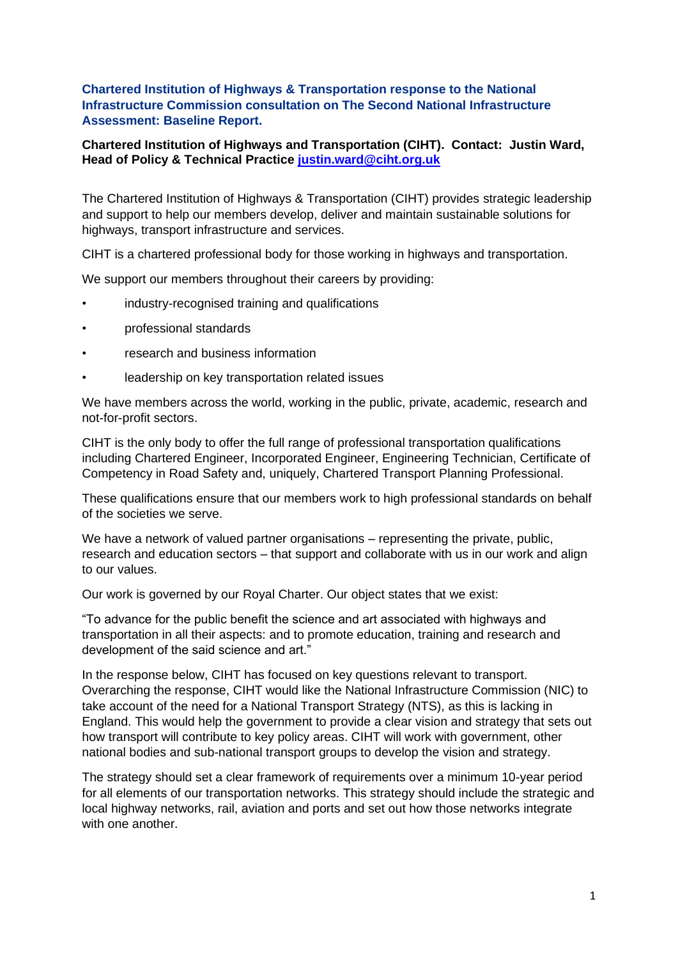## **Chartered Institution of Highways & Transportation response to the National Infrastructure Commission consultation on The Second National Infrastructure Assessment: Baseline Report.**

## **Chartered Institution of Highways and Transportation (CIHT). Contact: Justin Ward, Head of Policy & Technical Practice [justin.ward@ciht.org.uk](mailto:justin.ward@ciht.org.uk)**

The Chartered Institution of Highways & Transportation (CIHT) provides strategic leadership and support to help our members develop, deliver and maintain sustainable solutions for highways, transport infrastructure and services.

CIHT is a chartered professional body for those working in highways and transportation.

We support our members throughout their careers by providing:

- industry-recognised training and qualifications
- professional standards
- research and business information
- leadership on key transportation related issues

We have members across the world, working in the public, private, academic, research and not-for-profit sectors.

CIHT is the only body to offer the full range of professional transportation qualifications including Chartered Engineer, Incorporated Engineer, Engineering Technician, Certificate of Competency in Road Safety and, uniquely, Chartered Transport Planning Professional.

These qualifications ensure that our members work to high professional standards on behalf of the societies we serve.

We have a network of valued partner organisations – representing the private, public, research and education sectors – that support and collaborate with us in our work and align to our values.

Our work is governed by our Royal Charter. Our object states that we exist:

"To advance for the public benefit the science and art associated with highways and transportation in all their aspects: and to promote education, training and research and development of the said science and art."

In the response below, CIHT has focused on key questions relevant to transport. Overarching the response, CIHT would like the National Infrastructure Commission (NIC) to take account of the need for a National Transport Strategy (NTS), as this is lacking in England. This would help the government to provide a clear vision and strategy that sets out how transport will contribute to key policy areas. CIHT will work with government, other national bodies and sub-national transport groups to develop the vision and strategy.

The strategy should set a clear framework of requirements over a minimum 10-year period for all elements of our transportation networks. This strategy should include the strategic and local highway networks, rail, aviation and ports and set out how those networks integrate with one another.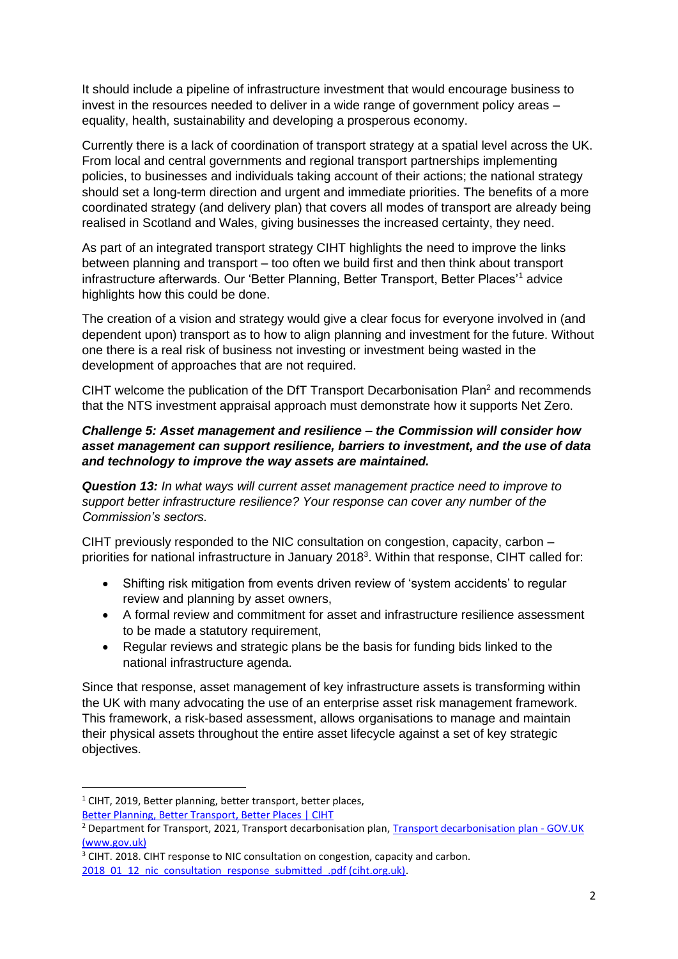It should include a pipeline of infrastructure investment that would encourage business to invest in the resources needed to deliver in a wide range of government policy areas – equality, health, sustainability and developing a prosperous economy.

Currently there is a lack of coordination of transport strategy at a spatial level across the UK. From local and central governments and regional transport partnerships implementing policies, to businesses and individuals taking account of their actions; the national strategy should set a long-term direction and urgent and immediate priorities. The benefits of a more coordinated strategy (and delivery plan) that covers all modes of transport are already being realised in Scotland and Wales, giving businesses the increased certainty, they need.

As part of an integrated transport strategy CIHT highlights the need to improve the links between planning and transport – too often we build first and then think about transport infrastructure afterwards. Our 'Better Planning, Better Transport, Better Places'<sup>1</sup> advice highlights how this could be done.

The creation of a vision and strategy would give a clear focus for everyone involved in (and dependent upon) transport as to how to align planning and investment for the future. Without one there is a real risk of business not investing or investment being wasted in the development of approaches that are not required.

CIHT welcome the publication of the DfT Transport Decarbonisation Plan<sup>2</sup> and recommends that the NTS investment appraisal approach must demonstrate how it supports Net Zero.

## *Challenge 5: Asset management and resilience – the Commission will consider how asset management can support resilience, barriers to investment, and the use of data and technology to improve the way assets are maintained.*

*Question 13: In what ways will current asset management practice need to improve to support better infrastructure resilience? Your response can cover any number of the Commission's sectors.*

CIHT previously responded to the NIC consultation on congestion, capacity, carbon – priorities for national infrastructure in January 2018<sup>3</sup>. Within that response, CIHT called for:

- Shifting risk mitigation from events driven review of 'system accidents' to regular review and planning by asset owners,
- A formal review and commitment for asset and infrastructure resilience assessment to be made a statutory requirement,
- Regular reviews and strategic plans be the basis for funding bids linked to the national infrastructure agenda.

Since that response, asset management of key infrastructure assets is transforming within the UK with many advocating the use of an enterprise asset risk management framework. This framework, a risk-based assessment, allows organisations to manage and maintain their physical assets throughout the entire asset lifecycle against a set of key strategic objectives.

[Better Planning, Better Transport, Better Places | CIHT](https://www.ciht.org.uk/knowledge-resource-centre/resources/better-planning-better-transport-better-places/)

<sup>&</sup>lt;sup>1</sup> CIHT, 2019, Better planning, better transport, better places,

<sup>&</sup>lt;sup>2</sup> Department for Transport, 2021, Transport decarbonisation plan, [Transport decarbonisation plan -](https://www.gov.uk/government/publications/transport-decarbonisation-plan) GOV.UK [\(www.gov.uk\)](https://www.gov.uk/government/publications/transport-decarbonisation-plan)

<sup>&</sup>lt;sup>3</sup> CIHT. 2018. CIHT response to NIC consultation on congestion, capacity and carbon.

[<sup>2018</sup>\\_01\\_12\\_nic\\_consultation\\_response\\_submitted\\_.pdf \(ciht.org.uk\).](https://www.ciht.org.uk/media/4817/2018_01_12_nic_consultation_response_submitted_.pdf)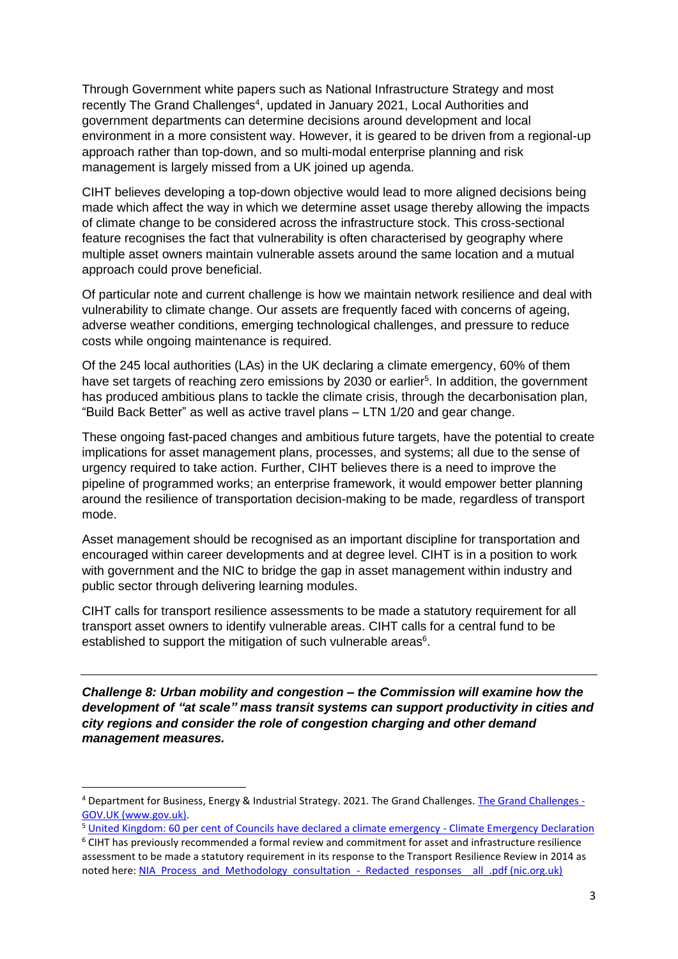Through Government white papers such as National Infrastructure Strategy and most recently The Grand Challenges<sup>4</sup>, updated in January 2021, Local Authorities and government departments can determine decisions around development and local environment in a more consistent way. However, it is geared to be driven from a regional-up approach rather than top-down, and so multi-modal enterprise planning and risk management is largely missed from a UK joined up agenda.

CIHT believes developing a top-down objective would lead to more aligned decisions being made which affect the way in which we determine asset usage thereby allowing the impacts of climate change to be considered across the infrastructure stock. This cross-sectional feature recognises the fact that vulnerability is often characterised by geography where multiple asset owners maintain vulnerable assets around the same location and a mutual approach could prove beneficial.

Of particular note and current challenge is how we maintain network resilience and deal with vulnerability to climate change. Our assets are frequently faced with concerns of ageing, adverse weather conditions, emerging technological challenges, and pressure to reduce costs while ongoing maintenance is required.

Of the 245 local authorities (LAs) in the UK declaring a climate emergency, 60% of them have set targets of reaching zero emissions by 2030 or earlier<sup>5</sup>. In addition, the government has produced ambitious plans to tackle the climate crisis, through the decarbonisation plan, "Build Back Better" as well as active travel plans – LTN 1/20 and gear change.

These ongoing fast-paced changes and ambitious future targets, have the potential to create implications for asset management plans, processes, and systems; all due to the sense of urgency required to take action. Further, CIHT believes there is a need to improve the pipeline of programmed works; an enterprise framework, it would empower better planning around the resilience of transportation decision-making to be made, regardless of transport mode.

Asset management should be recognised as an important discipline for transportation and encouraged within career developments and at degree level. CIHT is in a position to work with government and the NIC to bridge the gap in asset management within industry and public sector through delivering learning modules.

CIHT calls for transport resilience assessments to be made a statutory requirement for all transport asset owners to identify vulnerable areas. CIHT calls for a central fund to be established to support the mitigation of such vulnerable areas<sup>6</sup>.

*Challenge 8: Urban mobility and congestion – the Commission will examine how the development of "at scale" mass transit systems can support productivity in cities and city regions and consider the role of congestion charging and other demand management measures.*

<sup>4</sup> Department for Business, Energy & Industrial Strategy. 2021. The Grand Challenges. The Grand Challenges - GOV.UK (www.gov.uk).

<sup>5</sup> [United Kingdom: 60 per cent of Councils have declared a climate emergency -](https://climateemergencydeclaration.org/united-kingdom-60-per-cent-of-councils-have-declared-a-climate-emergency/) Climate Emergency Declaration <sup>6</sup> CIHT has previously recommended a formal review and commitment for asset and infrastructure resilience assessment to be made a statutory requirement in its response to the Transport Resilience Review in 2014 as noted here: [NIA\\_Process\\_and\\_Methodology\\_consultation\\_-\\_Redacted\\_responses\\_\\_all\\_.pdf \(nic.org.uk\)](https://nic.org.uk/app/uploads/NIA_Process_and_Methodology_consultation_-_Redacted_responses__all_.pdf)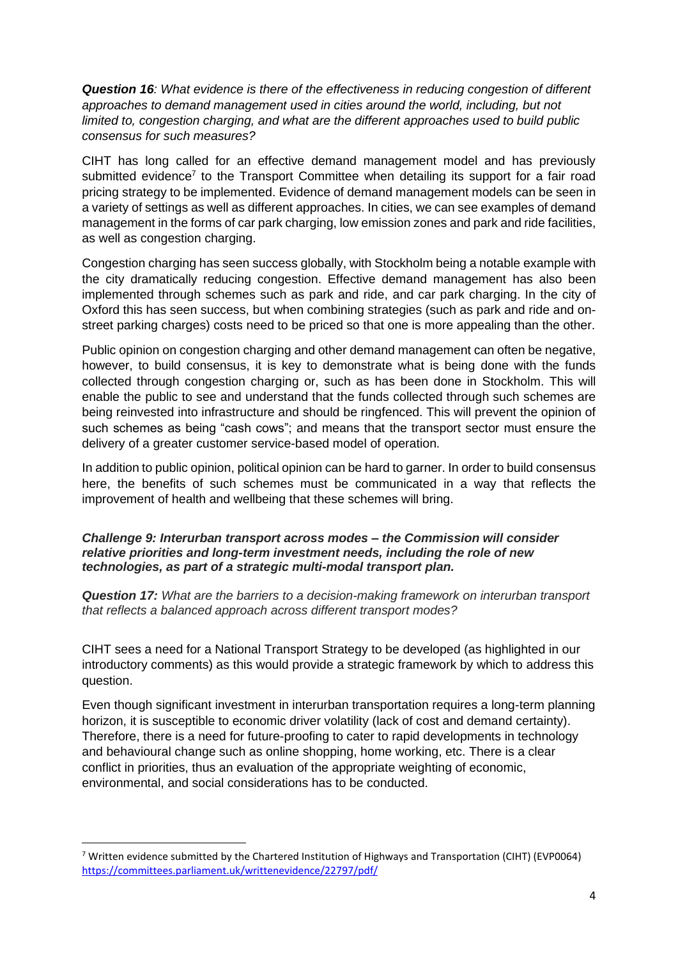*Question 16: What evidence is there of the effectiveness in reducing congestion of different*  approaches to demand management used in cities around the world, including, but not *limited to, congestion charging, and what are the different approaches used to build public consensus for such measures?*

CIHT has long called for an effective demand management model and has previously submitted evidence<sup>7</sup> to the Transport Committee when detailing its support for a fair road pricing strategy to be implemented. Evidence of demand management models can be seen in a variety of settings as well as different approaches. In cities, we can see examples of demand management in the forms of car park charging, low emission zones and park and ride facilities, as well as congestion charging.

Congestion charging has seen success globally, with Stockholm being a notable example with the city dramatically reducing congestion. Effective demand management has also been implemented through schemes such as park and ride, and car park charging. In the city of Oxford this has seen success, but when combining strategies (such as park and ride and onstreet parking charges) costs need to be priced so that one is more appealing than the other.

Public opinion on congestion charging and other demand management can often be negative, however, to build consensus, it is key to demonstrate what is being done with the funds collected through congestion charging or, such as has been done in Stockholm. This will enable the public to see and understand that the funds collected through such schemes are being reinvested into infrastructure and should be ringfenced. This will prevent the opinion of such schemes as being "cash cows"; and means that the transport sector must ensure the delivery of a greater customer service-based model of operation.

In addition to public opinion, political opinion can be hard to garner. In order to build consensus here, the benefits of such schemes must be communicated in a way that reflects the improvement of health and wellbeing that these schemes will bring.

*Challenge 9: Interurban transport across modes – the Commission will consider relative priorities and long-term investment needs, including the role of new technologies, as part of a strategic multi-modal transport plan.*

*Question 17: What are the barriers to a decision-making framework on interurban transport that reflects a balanced approach across different transport modes?*

CIHT sees a need for a National Transport Strategy to be developed (as highlighted in our introductory comments) as this would provide a strategic framework by which to address this question.

Even though significant investment in interurban transportation requires a long-term planning horizon, it is susceptible to economic driver volatility (lack of cost and demand certainty). Therefore, there is a need for future-proofing to cater to rapid developments in technology and behavioural change such as online shopping, home working, etc. There is a clear conflict in priorities, thus an evaluation of the appropriate weighting of economic, environmental, and social considerations has to be conducted.

 $7$  Written evidence submitted by the Chartered Institution of Highways and Transportation (CIHT) (EVP0064) <https://committees.parliament.uk/writtenevidence/22797/pdf/>